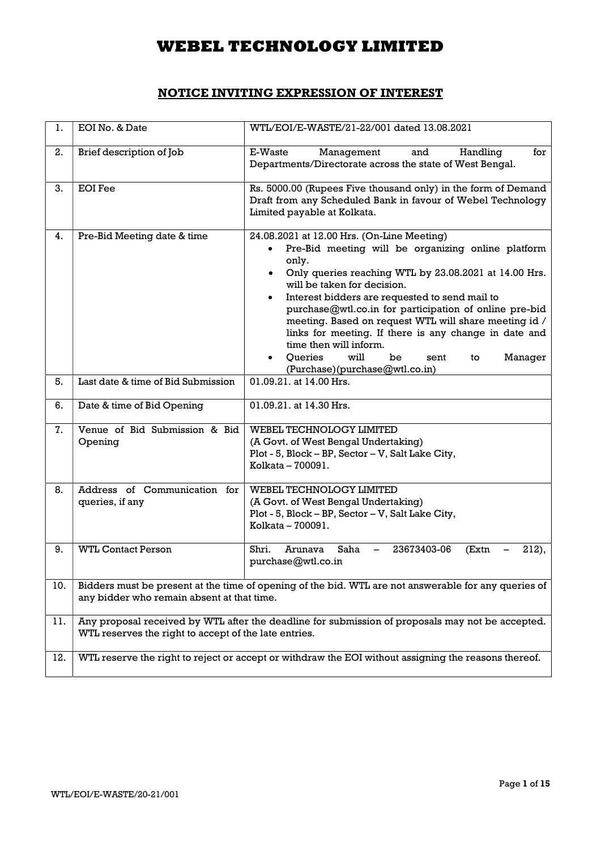### NOTICE INVITING EXPRESSION OF INTEREST

| ı.  | EOI No. & Date                                        | WTL/EOI/E-WASTE/21-22/001 dated 13.08.2021                                                                                                                                                                                                                                                                                                                                                                                                                                                                                                                              |
|-----|-------------------------------------------------------|-------------------------------------------------------------------------------------------------------------------------------------------------------------------------------------------------------------------------------------------------------------------------------------------------------------------------------------------------------------------------------------------------------------------------------------------------------------------------------------------------------------------------------------------------------------------------|
| 2.  | Brief description of Job                              | E-Waste<br>Handling<br>Management<br>and<br>for<br>Departments/Directorate across the state of West Bengal.                                                                                                                                                                                                                                                                                                                                                                                                                                                             |
| 3.  | <b>EOI</b> Fee                                        | Rs. 5000.00 (Rupees Five thousand only) in the form of Demand<br>Draft from any Scheduled Bank in favour of Webel Technology<br>Limited payable at Kolkata.                                                                                                                                                                                                                                                                                                                                                                                                             |
| 4.  | Pre-Bid Meeting date & time                           | 24.08.2021 at 12.00 Hrs. (On-Line Meeting)<br>Pre-Bid meeting will be organizing online platform<br>only.<br>Only queries reaching WTL by 23.08.2021 at 14.00 Hrs.<br>$\bullet$<br>will be taken for decision.<br>Interest bidders are requested to send mail to<br>$\bullet$<br>purchase@wtl.co.in for participation of online pre-bid<br>meeting. Based on request WTL will share meeting id /<br>links for meeting. If there is any change in date and<br>time then will inform.<br>will<br>Queries<br>be<br>sent<br>Manager<br>to<br>(Purchase)(purchase@wtl.co.in) |
| 5.  | Last date & time of Bid Submission                    | 01.09.21. at 14.00 Hrs.                                                                                                                                                                                                                                                                                                                                                                                                                                                                                                                                                 |
| 6.  | Date & time of Bid Opening                            | 01.09.21. at 14.30 Hrs.                                                                                                                                                                                                                                                                                                                                                                                                                                                                                                                                                 |
| 7.  | Venue of Bid Submission & Bid<br>Opening              | WEBEL TECHNOLOGY LIMITED<br>(A Govt. of West Bengal Undertaking)<br>Plot - 5, Block - BP, Sector - V, Salt Lake City,<br>Kolkata - 700091.                                                                                                                                                                                                                                                                                                                                                                                                                              |
| 8.  | Address of Communication for<br>queries, if any       | WEBEL TECHNOLOGY LIMITED<br>(A Govt. of West Bengal Undertaking)<br>Plot - 5, Block - BP, Sector - V, Salt Lake City,<br>Kolkata - 700091.                                                                                                                                                                                                                                                                                                                                                                                                                              |
| 9.  | <b>WTL Contact Person</b>                             | Shri.<br>Arunava<br>Saha<br>23673403-06<br>$\qquad \qquad -$<br>212),<br>(Extn<br>purchase@wtl.co.in                                                                                                                                                                                                                                                                                                                                                                                                                                                                    |
| 10. | any bidder who remain absent at that time.            | Bidders must be present at the time of opening of the bid. WTL are not answerable for any queries of                                                                                                                                                                                                                                                                                                                                                                                                                                                                    |
| 11. | WTL reserves the right to accept of the late entries. | Any proposal received by WTL after the deadline for submission of proposals may not be accepted.                                                                                                                                                                                                                                                                                                                                                                                                                                                                        |
| 12. |                                                       | WTL reserve the right to reject or accept or withdraw the EOI without assigning the reasons thereof.                                                                                                                                                                                                                                                                                                                                                                                                                                                                    |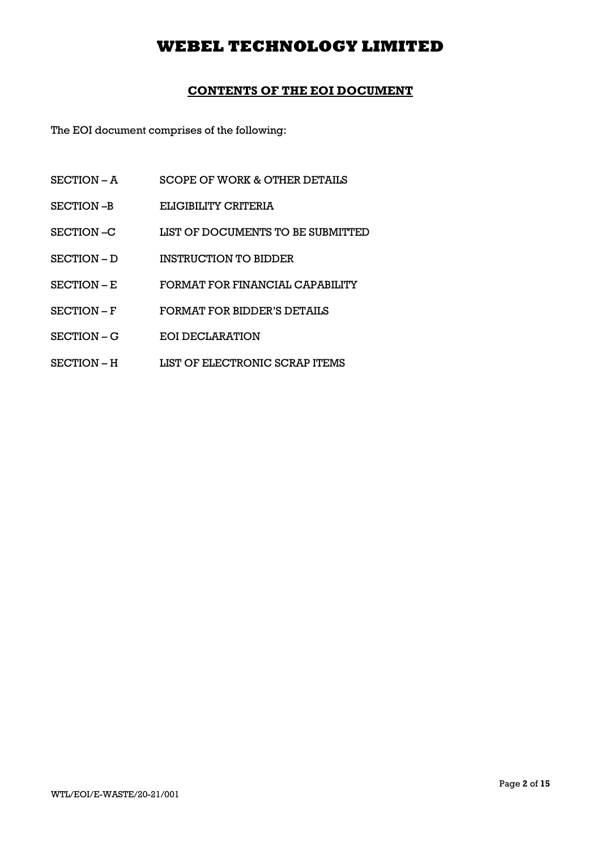### CONTENTS OF THE EOI DOCUMENT

The EOI document comprises of the following:

- SECTION A SCOPE OF WORK & OTHER DETAILS
- SECTION –B ELIGIBILITY CRITERIA
- SECTION –C LIST OF DOCUMENTS TO BE SUBMITTED
- SECTION D INSTRUCTION TO BIDDER
- SECTION E FORMAT FOR FINANCIAL CAPABILITY
- SECTION F FORMAT FOR BIDDER'S DETAILS
- SECTION G EOI DECLARATION
- SECTION H LIST OF ELECTRONIC SCRAP ITEMS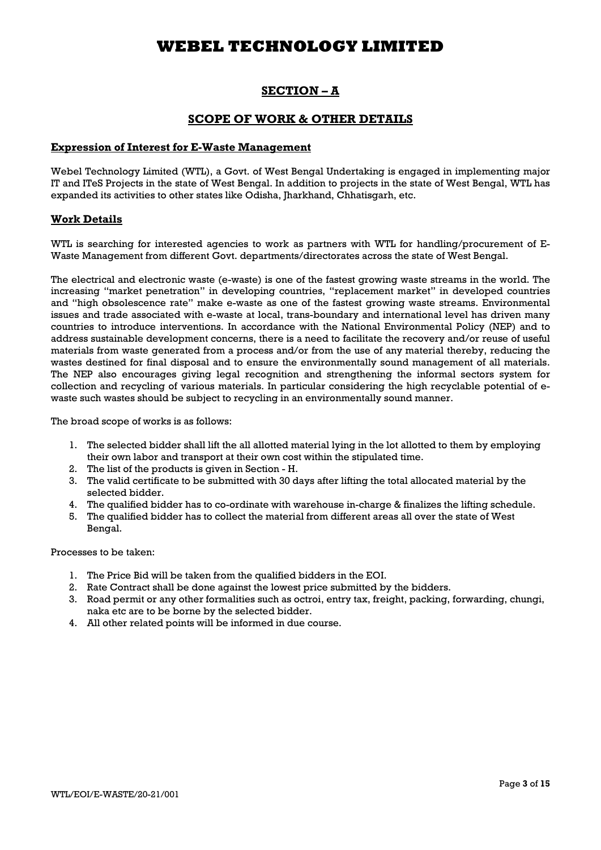### SECTION – A

### SCOPE OF WORK & OTHER DETAILS

#### Expression of Interest for E-Waste Management

Webel Technology Limited (WTL), a Govt. of West Bengal Undertaking is engaged in implementing major IT and ITeS Projects in the state of West Bengal. In addition to projects in the state of West Bengal, WTL has expanded its activities to other states like Odisha, Jharkhand, Chhatisgarh, etc.

#### Work Details

WTL is searching for interested agencies to work as partners with WTL for handling/procurement of E-Waste Management from different Govt. departments/directorates across the state of West Bengal.

The electrical and electronic waste (e-waste) is one of the fastest growing waste streams in the world. The increasing "market penetration" in developing countries, "replacement market" in developed countries and "high obsolescence rate" make e-waste as one of the fastest growing waste streams. Environmental issues and trade associated with e-waste at local, trans-boundary and international level has driven many countries to introduce interventions. In accordance with the National Environmental Policy (NEP) and to address sustainable development concerns, there is a need to facilitate the recovery and/or reuse of useful materials from waste generated from a process and/or from the use of any material thereby, reducing the wastes destined for final disposal and to ensure the environmentally sound management of all materials. The NEP also encourages giving legal recognition and strengthening the informal sectors system for collection and recycling of various materials. In particular considering the high recyclable potential of ewaste such wastes should be subject to recycling in an environmentally sound manner.

The broad scope of works is as follows:

- 1. The selected bidder shall lift the all allotted material lying in the lot allotted to them by employing their own labor and transport at their own cost within the stipulated time.
- 2. The list of the products is given in Section H.
- 3. The valid certificate to be submitted with 30 days after lifting the total allocated material by the selected bidder.
- 4. The qualified bidder has to co-ordinate with warehouse in-charge & finalizes the lifting schedule.
- 5. The qualified bidder has to collect the material from different areas all over the state of West Bengal.

Processes to be taken:

- 1. The Price Bid will be taken from the qualified bidders in the EOI.
- 2. Rate Contract shall be done against the lowest price submitted by the bidders.
- 3. Road permit or any other formalities such as octroi, entry tax, freight, packing, forwarding, chungi, naka etc are to be borne by the selected bidder.
- 4. All other related points will be informed in due course.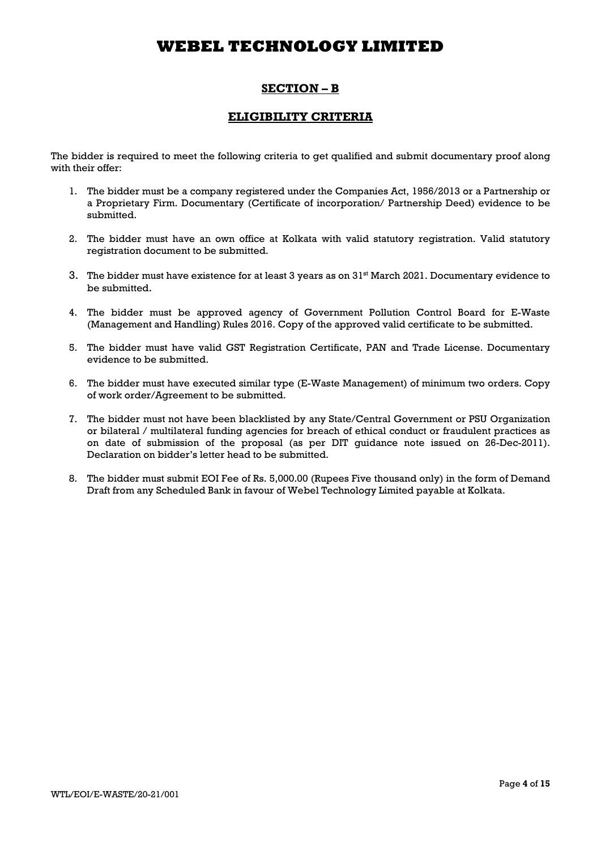## SECTION – B

### ELIGIBILITY CRITERIA

The bidder is required to meet the following criteria to get qualified and submit documentary proof along with their offer:

- 1. The bidder must be a company registered under the Companies Act, 1956/2013 or a Partnership or a Proprietary Firm. Documentary (Certificate of incorporation/ Partnership Deed) evidence to be submitted.
- 2. The bidder must have an own office at Kolkata with valid statutory registration. Valid statutory registration document to be submitted.
- 3. The bidder must have existence for at least 3 years as on 31st March 2021. Documentary evidence to be submitted.
- 4. The bidder must be approved agency of Government Pollution Control Board for E-Waste (Management and Handling) Rules 2016. Copy of the approved valid certificate to be submitted.
- 5. The bidder must have valid GST Registration Certificate, PAN and Trade License. Documentary evidence to be submitted.
- 6. The bidder must have executed similar type (E-Waste Management) of minimum two orders. Copy of work order/Agreement to be submitted.
- 7. The bidder must not have been blacklisted by any State/Central Government or PSU Organization or bilateral / multilateral funding agencies for breach of ethical conduct or fraudulent practices as on date of submission of the proposal (as per DIT guidance note issued on 26-Dec-2011). Declaration on bidder's letter head to be submitted.
- 8. The bidder must submit EOI Fee of Rs. 5,000.00 (Rupees Five thousand only) in the form of Demand Draft from any Scheduled Bank in favour of Webel Technology Limited payable at Kolkata.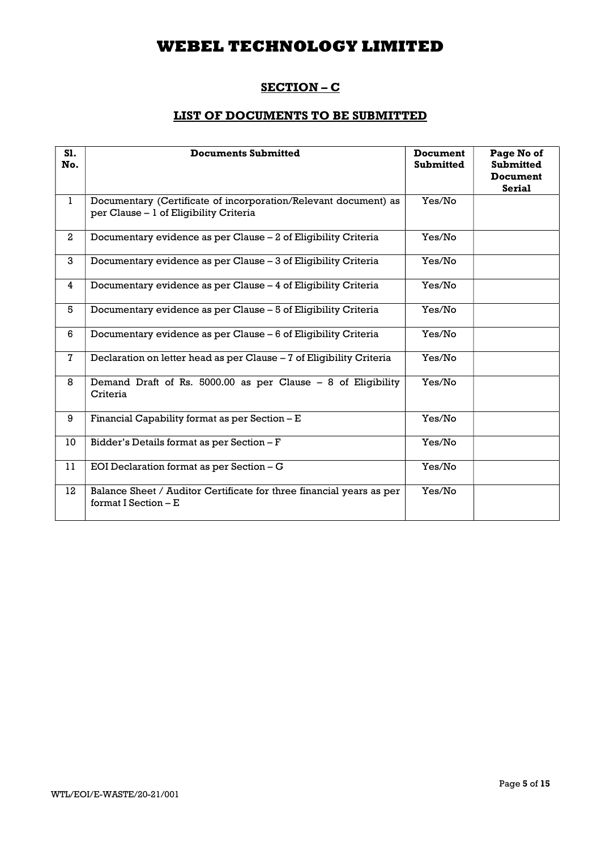## SECTION - C

### LIST OF DOCUMENTS TO BE SUBMITTED

| S1.<br>No.     | <b>Documents Submitted</b>                                                                                | <b>Document</b><br><b>Submitted</b> | Page No of<br><b>Submitted</b><br><b>Document</b><br><b>Serial</b> |
|----------------|-----------------------------------------------------------------------------------------------------------|-------------------------------------|--------------------------------------------------------------------|
| $\mathbf{1}$   | Documentary (Certificate of incorporation/Relevant document) as<br>per Clause - 1 of Eligibility Criteria | Yes/No                              |                                                                    |
| $\overline{2}$ | Documentary evidence as per Clause - 2 of Eligibility Criteria                                            | Yes/No                              |                                                                    |
| 3              | Documentary evidence as per Clause - 3 of Eligibility Criteria                                            | Yes/No                              |                                                                    |
| $\overline{4}$ | Documentary evidence as per Clause - 4 of Eligibility Criteria                                            | Yes/No                              |                                                                    |
| 5              | Documentary evidence as per Clause – 5 of Eligibility Criteria                                            | Yes/No                              |                                                                    |
| 6              | Documentary evidence as per Clause – 6 of Eligibility Criteria                                            | Yes/No                              |                                                                    |
| 7              | Declaration on letter head as per Clause - 7 of Eligibility Criteria                                      | Yes/No                              |                                                                    |
| 8              | Demand Draft of Rs. 5000.00 as per Clause $-8$ of Eligibility<br>Criteria                                 | Yes/No                              |                                                                    |
| 9              | Financial Capability format as per Section - E                                                            | Yes/No                              |                                                                    |
| 10             | Bidder's Details format as per Section - F                                                                | Yes/No                              |                                                                    |
| 11             | EOI Declaration format as per Section - G                                                                 | Yes/No                              |                                                                    |
| 12             | Balance Sheet / Auditor Certificate for three financial years as per<br>format I Section $-E$             | Yes/No                              |                                                                    |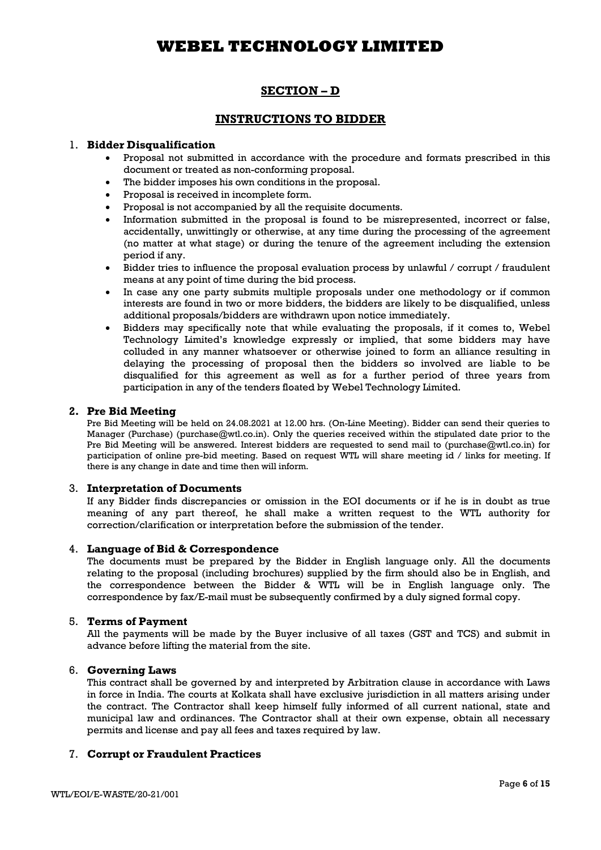## SECTION – D

### INSTRUCTIONS TO BIDDER

#### 1. Bidder Disqualification

- Proposal not submitted in accordance with the procedure and formats prescribed in this document or treated as non-conforming proposal.
- The bidder imposes his own conditions in the proposal.
- Proposal is received in incomplete form.
- Proposal is not accompanied by all the requisite documents.
- Information submitted in the proposal is found to be misrepresented, incorrect or false, accidentally, unwittingly or otherwise, at any time during the processing of the agreement (no matter at what stage) or during the tenure of the agreement including the extension period if any.
- Bidder tries to influence the proposal evaluation process by unlawful / corrupt / fraudulent means at any point of time during the bid process.
- In case any one party submits multiple proposals under one methodology or if common interests are found in two or more bidders, the bidders are likely to be disqualified, unless additional proposals/bidders are withdrawn upon notice immediately.
- Bidders may specifically note that while evaluating the proposals, if it comes to, Webel Technology Limited's knowledge expressly or implied, that some bidders may have colluded in any manner whatsoever or otherwise joined to form an alliance resulting in delaying the processing of proposal then the bidders so involved are liable to be disqualified for this agreement as well as for a further period of three years from participation in any of the tenders floated by Webel Technology Limited.

#### 2. Pre Bid Meeting

Pre Bid Meeting will be held on 24.08.2021 at 12.00 hrs. (On-Line Meeting). Bidder can send their queries to Manager (Purchase) (purchase@wtl.co.in). Only the queries received within the stipulated date prior to the Pre Bid Meeting will be answered. Interest bidders are requested to send mail to (purchase@wtl.co.in) for participation of online pre-bid meeting. Based on request WTL will share meeting id / links for meeting. If there is any change in date and time then will inform.

#### 3. Interpretation of Documents

If any Bidder finds discrepancies or omission in the EOI documents or if he is in doubt as true meaning of any part thereof, he shall make a written request to the WTL authority for correction/clarification or interpretation before the submission of the tender.

#### 4. Language of Bid & Correspondence

The documents must be prepared by the Bidder in English language only. All the documents relating to the proposal (including brochures) supplied by the firm should also be in English, and the correspondence between the Bidder & WTL will be in English language only. The correspondence by fax/E-mail must be subsequently confirmed by a duly signed formal copy.

#### 5. Terms of Payment

All the payments will be made by the Buyer inclusive of all taxes (GST and TCS) and submit in advance before lifting the material from the site.

#### 6. Governing Laws

This contract shall be governed by and interpreted by Arbitration clause in accordance with Laws in force in India. The courts at Kolkata shall have exclusive jurisdiction in all matters arising under the contract. The Contractor shall keep himself fully informed of all current national, state and municipal law and ordinances. The Contractor shall at their own expense, obtain all necessary permits and license and pay all fees and taxes required by law.

#### 7. Corrupt or Fraudulent Practices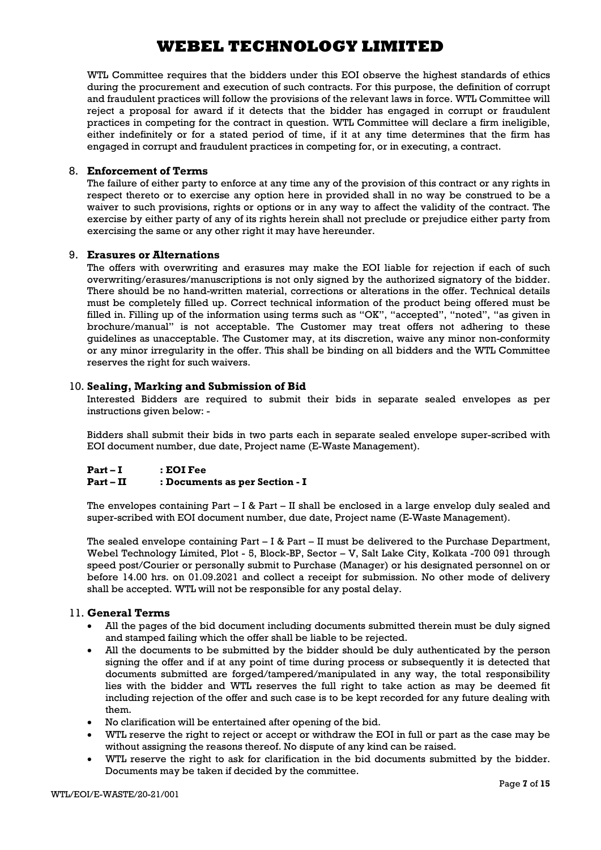WTL Committee requires that the bidders under this EOI observe the highest standards of ethics during the procurement and execution of such contracts. For this purpose, the definition of corrupt and fraudulent practices will follow the provisions of the relevant laws in force. WTL Committee will reject a proposal for award if it detects that the bidder has engaged in corrupt or fraudulent practices in competing for the contract in question. WTL Committee will declare a firm ineligible, either indefinitely or for a stated period of time, if it at any time determines that the firm has engaged in corrupt and fraudulent practices in competing for, or in executing, a contract.

#### 8. Enforcement of Terms

The failure of either party to enforce at any time any of the provision of this contract or any rights in respect thereto or to exercise any option here in provided shall in no way be construed to be a waiver to such provisions, rights or options or in any way to affect the validity of the contract. The exercise by either party of any of its rights herein shall not preclude or prejudice either party from exercising the same or any other right it may have hereunder.

#### 9. Erasures or Alternations

The offers with overwriting and erasures may make the EOI liable for rejection if each of such overwriting/erasures/manuscriptions is not only signed by the authorized signatory of the bidder. There should be no hand-written material, corrections or alterations in the offer. Technical details must be completely filled up. Correct technical information of the product being offered must be filled in. Filling up of the information using terms such as "OK", "accepted", "noted", "as given in brochure/manual" is not acceptable. The Customer may treat offers not adhering to these guidelines as unacceptable. The Customer may, at its discretion, waive any minor non-conformity or any minor irregularity in the offer. This shall be binding on all bidders and the WTL Committee reserves the right for such waivers.

#### 10. Sealing, Marking and Submission of Bid

Interested Bidders are required to submit their bids in separate sealed envelopes as per instructions given below: -

Bidders shall submit their bids in two parts each in separate sealed envelope super-scribed with EOI document number, due date, Project name (E-Waste Management).

#### Part – I : EOI Fee Part – II : Documents as per Section - I

The envelopes containing  $Part - I & Part - II$  shall be enclosed in a large envelop duly sealed and super-scribed with EOI document number, due date, Project name (E-Waste Management).

The sealed envelope containing Part  $-$  I & Part  $-$  II must be delivered to the Purchase Department, Webel Technology Limited, Plot - 5, Block-BP, Sector – V, Salt Lake City, Kolkata -700 091 through speed post/Courier or personally submit to Purchase (Manager) or his designated personnel on or before 14.00 hrs. on 01.09.2021 and collect a receipt for submission. No other mode of delivery shall be accepted. WTL will not be responsible for any postal delay.

#### 11. General Terms

- All the pages of the bid document including documents submitted therein must be duly signed and stamped failing which the offer shall be liable to be rejected.
- All the documents to be submitted by the bidder should be duly authenticated by the person signing the offer and if at any point of time during process or subsequently it is detected that documents submitted are forged/tampered/manipulated in any way, the total responsibility lies with the bidder and WTL reserves the full right to take action as may be deemed fit including rejection of the offer and such case is to be kept recorded for any future dealing with them.
- No clarification will be entertained after opening of the bid.
- WTL reserve the right to reject or accept or withdraw the EOI in full or part as the case may be without assigning the reasons thereof. No dispute of any kind can be raised.
- WTL reserve the right to ask for clarification in the bid documents submitted by the bidder. Documents may be taken if decided by the committee.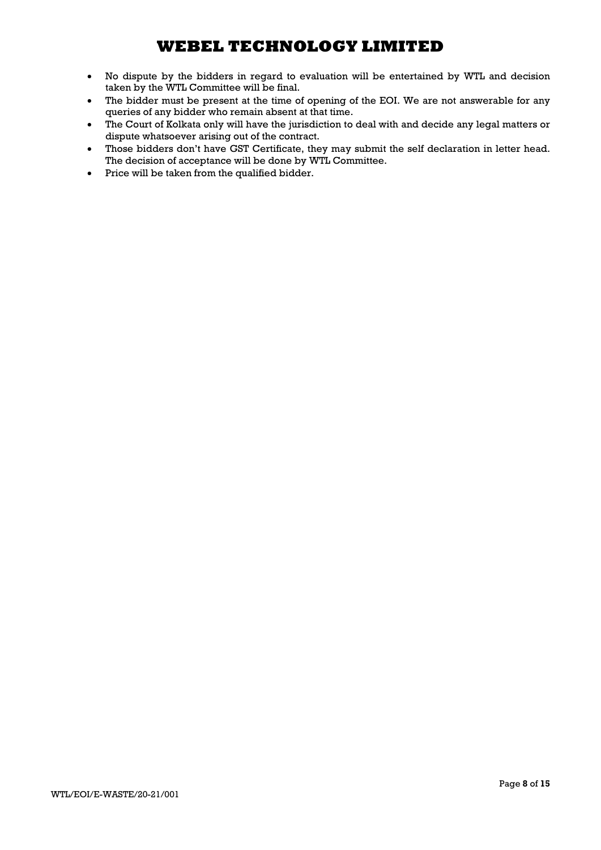- No dispute by the bidders in regard to evaluation will be entertained by WTL and decision taken by the WTL Committee will be final.
- The bidder must be present at the time of opening of the EOI. We are not answerable for any queries of any bidder who remain absent at that time.
- The Court of Kolkata only will have the jurisdiction to deal with and decide any legal matters or dispute whatsoever arising out of the contract.
- Those bidders don't have GST Certificate, they may submit the self declaration in letter head. The decision of acceptance will be done by WTL Committee.
- Price will be taken from the qualified bidder.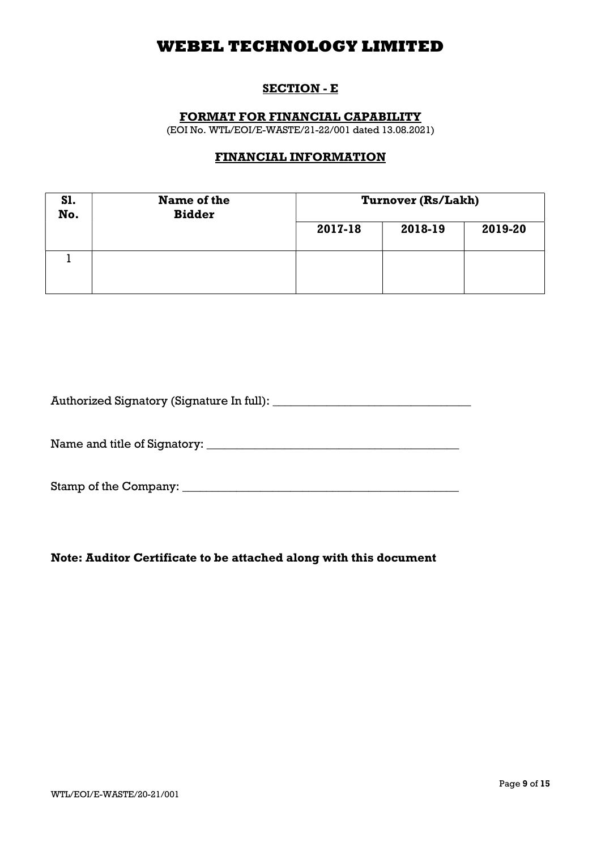## SECTION - E

### FORMAT FOR FINANCIAL CAPABILITY

(EOI No. WTL/EOI/E-WASTE/21-22/001 dated 13.08.2021)

## FINANCIAL INFORMATION

| S1.<br>No. | Name of the<br><b>Bidder</b> | Turnover (Rs/Lakh) |         |         |
|------------|------------------------------|--------------------|---------|---------|
|            |                              | 2017-18            | 2018-19 | 2019-20 |
|            |                              |                    |         |         |

| Authorized Signatory (Signature In full): |  |
|-------------------------------------------|--|
|                                           |  |

Name and title of Signatory: \_\_\_\_\_\_\_\_\_\_\_\_\_\_\_\_\_\_\_\_\_\_\_\_\_\_\_\_\_\_\_\_\_\_\_\_\_\_\_\_\_\_

Stamp of the Company: \_\_\_\_\_\_\_\_\_\_\_\_\_\_\_\_\_\_\_\_\_\_\_\_\_\_\_\_\_\_\_\_\_\_\_\_\_\_\_\_\_\_\_\_\_\_

### Note: Auditor Certificate to be attached along with this document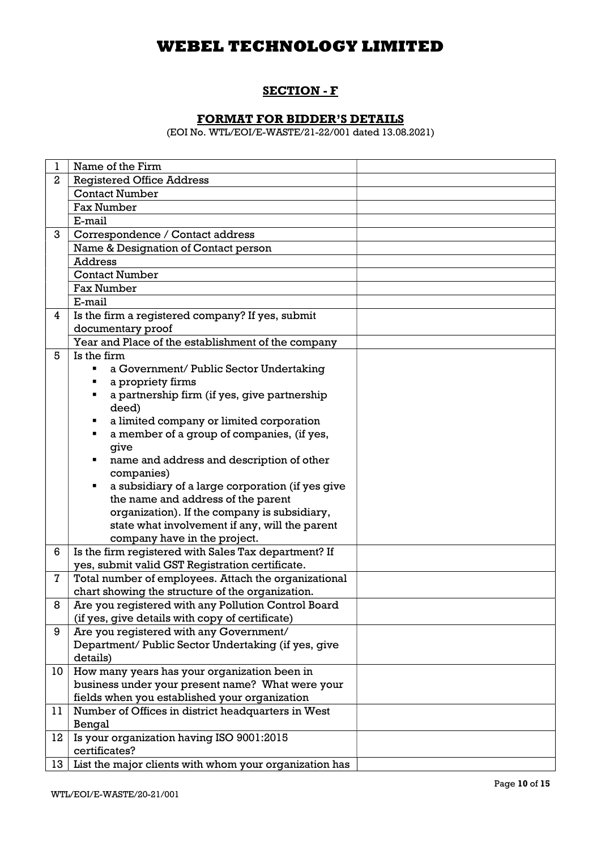## SECTION - F

## FORMAT FOR BIDDER'S DETAILS

(EOI No. WTL/EOI/E-WASTE/21-22/001 dated 13.08.2021)

| ı              | Name of the Firm                                                                     |  |  |
|----------------|--------------------------------------------------------------------------------------|--|--|
| $\overline{2}$ | <b>Registered Office Address</b>                                                     |  |  |
|                | <b>Contact Number</b>                                                                |  |  |
|                | <b>Fax Number</b>                                                                    |  |  |
|                | E-mail                                                                               |  |  |
| 3              | Correspondence / Contact address                                                     |  |  |
|                | Name & Designation of Contact person                                                 |  |  |
|                | <b>Address</b>                                                                       |  |  |
|                | <b>Contact Number</b>                                                                |  |  |
|                | <b>Fax Number</b>                                                                    |  |  |
|                | E-mail                                                                               |  |  |
| 4              | Is the firm a registered company? If yes, submit                                     |  |  |
|                | documentary proof                                                                    |  |  |
|                | Year and Place of the establishment of the company                                   |  |  |
| 5              | Is the firm                                                                          |  |  |
|                | a Government/ Public Sector Undertaking                                              |  |  |
|                | a propriety firms                                                                    |  |  |
|                | a partnership firm (if yes, give partnership<br>٠                                    |  |  |
|                | deed)                                                                                |  |  |
|                | a limited company or limited corporation<br>٠                                        |  |  |
|                | a member of a group of companies, (if yes,<br>٠                                      |  |  |
|                | give                                                                                 |  |  |
|                | name and address and description of other<br>п                                       |  |  |
|                | companies)                                                                           |  |  |
|                | a subsidiary of a large corporation (if yes give<br>٠                                |  |  |
|                | the name and address of the parent                                                   |  |  |
|                | organization). If the company is subsidiary,                                         |  |  |
|                | state what involvement if any, will the parent                                       |  |  |
| 6              | company have in the project.<br>Is the firm registered with Sales Tax department? If |  |  |
|                | yes, submit valid GST Registration certificate.                                      |  |  |
| $\mathbf{7}$   | Total number of employees. Attach the organizational                                 |  |  |
|                | chart showing the structure of the organization.                                     |  |  |
| 8              | Are you registered with any Pollution Control Board                                  |  |  |
|                | (if yes, give details with copy of certificate)                                      |  |  |
| 9              | Are you registered with any Government/                                              |  |  |
|                | Department/Public Sector Undertaking (if yes, give                                   |  |  |
|                | details)                                                                             |  |  |
| 10             | How many years has your organization been in                                         |  |  |
|                | business under your present name? What were your                                     |  |  |
|                | fields when you established your organization                                        |  |  |
| 11             | Number of Offices in district headquarters in West                                   |  |  |
|                | Bengal                                                                               |  |  |
| 12             | Is your organization having ISO 9001:2015                                            |  |  |
|                | certificates?                                                                        |  |  |
| 13             | List the major clients with whom your organization has                               |  |  |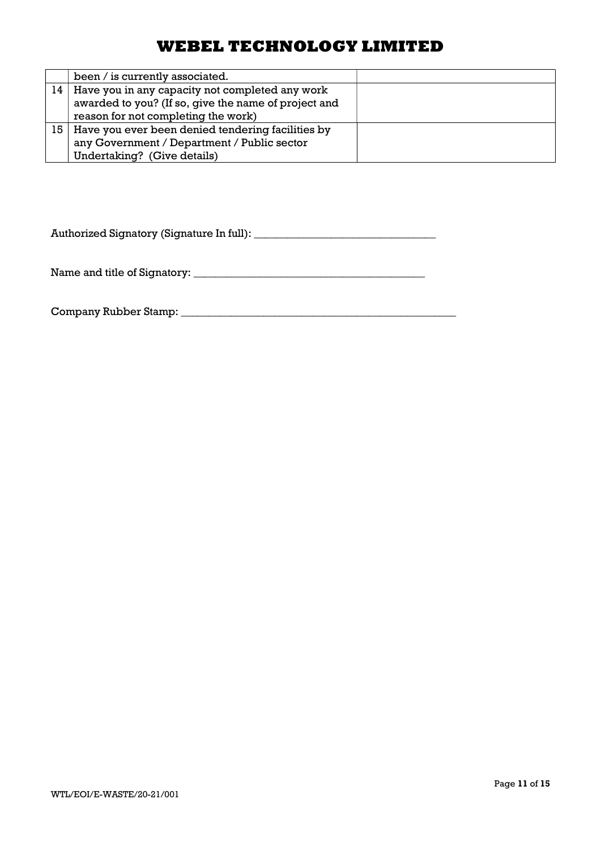|                 | been / is currently associated.                        |  |
|-----------------|--------------------------------------------------------|--|
| 14 <sup>1</sup> | Have you in any capacity not completed any work        |  |
|                 | awarded to you? (If so, give the name of project and   |  |
|                 | reason for not completing the work)                    |  |
|                 | 15   Have you ever been denied tendering facilities by |  |
|                 | any Government / Department / Public sector            |  |
|                 | Undertaking? (Give details)                            |  |

Authorized Signatory (Signature In full): \_\_\_\_\_\_\_\_\_\_\_\_\_\_\_\_\_\_\_\_\_\_\_\_\_\_\_\_\_\_\_\_\_

Name and title of Signatory: \_\_\_\_\_\_\_\_\_\_\_\_\_\_\_\_\_\_\_\_\_\_\_\_\_\_\_\_\_\_\_\_\_\_\_\_\_\_\_\_\_\_

Company Rubber Stamp: \_\_\_\_\_\_\_\_\_\_\_\_\_\_\_\_\_\_\_\_\_\_\_\_\_\_\_\_\_\_\_\_\_\_\_\_\_\_\_\_\_\_\_\_\_\_\_\_\_\_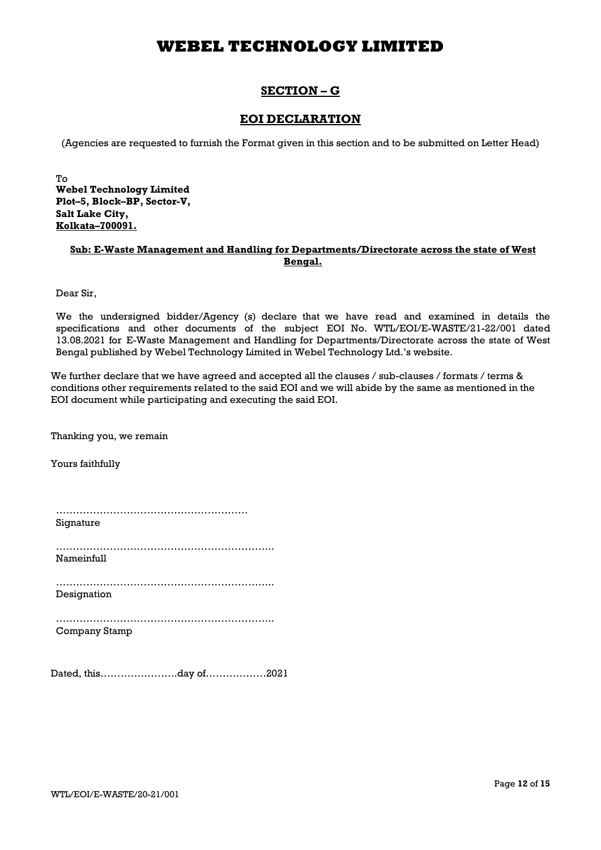### SECTION – G

### EOI DECLARATION

(Agencies are requested to furnish the Format given in this section and to be submitted on Letter Head)

To Webel Technology Limited Plot–5, Block–BP, Sector-V, Salt Lake City, Kolkata–700091.

#### Sub: E-Waste Management and Handling for Departments/Directorate across the state of West Bengal.

Dear Sir,

We the undersigned bidder/Agency (s) declare that we have read and examined in details the specifications and other documents of the subject EOI No. WTL/EOI/E-WASTE/21-22/001 dated 13.08.2021 for E-Waste Management and Handling for Departments/Directorate across the state of West Bengal published by Webel Technology Limited in Webel Technology Ltd.'s website.

We further declare that we have agreed and accepted all the clauses / sub-clauses / formats / terms & conditions other requirements related to the said EOI and we will abide by the same as mentioned in the EOI document while participating and executing the said EOI.

Thanking you, we remain

Yours faithfully

………………………………………………… Signature

……………………………………………………….. Nameinfull

……………………………………………………….. Designation

……………………………………………………….. Company Stamp

Dated, this…………………..day of………………2021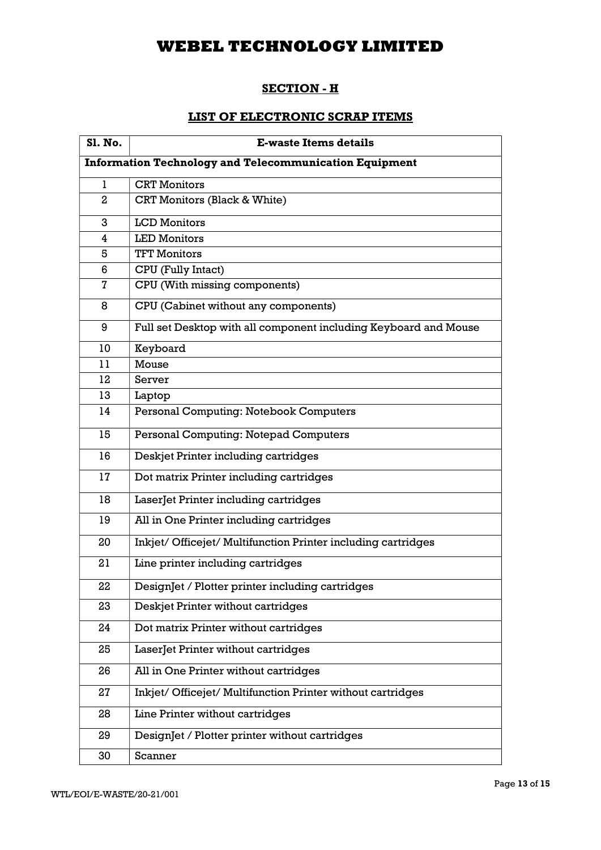### SECTION - H

### LIST OF ELECTRONIC SCRAP ITEMS

| <b>S1. No.</b>                                                | <b>E-waste Items details</b>                                     |
|---------------------------------------------------------------|------------------------------------------------------------------|
| <b>Information Technology and Telecommunication Equipment</b> |                                                                  |
| 1                                                             | <b>CRT</b> Monitors                                              |
| $\mathbf{2}$                                                  | CRT Monitors (Black & White)                                     |
| 3                                                             | <b>LCD</b> Monitors                                              |
| 4                                                             | <b>LED Monitors</b>                                              |
| 5                                                             | <b>TFT Monitors</b>                                              |
| 6                                                             | CPU (Fully Intact)                                               |
| 7                                                             | CPU (With missing components)                                    |
| 8                                                             | CPU (Cabinet without any components)                             |
| 9                                                             | Full set Desktop with all component including Keyboard and Mouse |
| 10                                                            | Keyboard                                                         |
| 11                                                            | Mouse                                                            |
| 12                                                            | Server                                                           |
| 13                                                            | Laptop                                                           |
| 14                                                            | Personal Computing: Notebook Computers                           |
| 15                                                            | Personal Computing: Notepad Computers                            |
| 16                                                            | Deskjet Printer including cartridges                             |
| 17                                                            | Dot matrix Printer including cartridges                          |
| 18                                                            | LaserJet Printer including cartridges                            |
| 19                                                            | All in One Printer including cartridges                          |
| 20                                                            | Inkjet/ Officejet/ Multifunction Printer including cartridges    |
| 21                                                            | Line printer including cartridges                                |
| 22                                                            | DesignJet / Plotter printer including cartridges                 |
| 23                                                            | Deskjet Printer without cartridges                               |
| 24                                                            | Dot matrix Printer without cartridges                            |
| 25                                                            | LaserJet Printer without cartridges                              |
| 26                                                            | All in One Printer without cartridges                            |
| 27                                                            | Inkjet/ Officejet/ Multifunction Printer without cartridges      |
| 28                                                            | Line Printer without cartridges                                  |
| 29                                                            | DesignJet / Plotter printer without cartridges                   |
| 30                                                            | Scanner                                                          |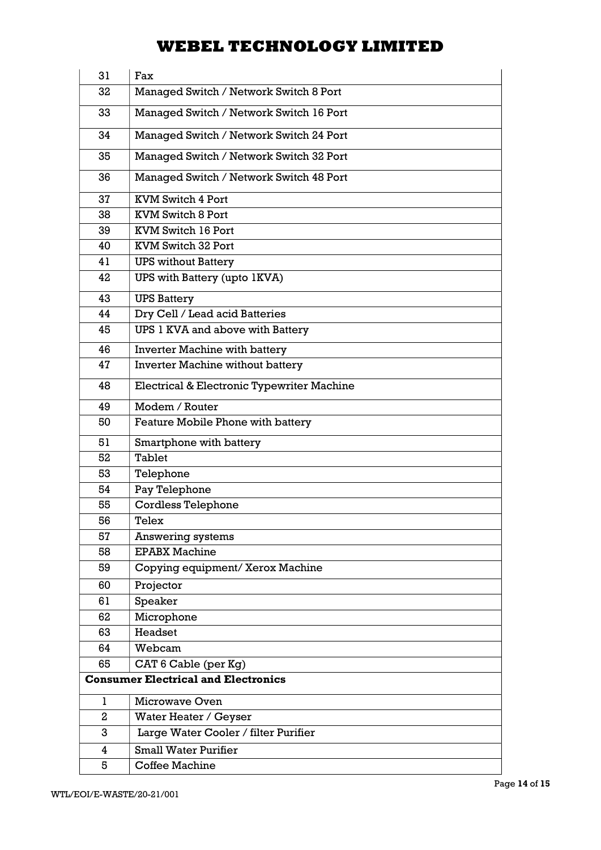| 31 | Fax                                        |
|----|--------------------------------------------|
| 32 | Managed Switch / Network Switch 8 Port     |
| 33 | Managed Switch / Network Switch 16 Port    |
| 34 | Managed Switch / Network Switch 24 Port    |
| 35 | Managed Switch / Network Switch 32 Port    |
| 36 | Managed Switch / Network Switch 48 Port    |
| 37 | <b>KVM Switch 4 Port</b>                   |
| 38 | <b>KVM Switch 8 Port</b>                   |
| 39 | KVM Switch 16 Port                         |
| 40 | KVM Switch 32 Port                         |
| 41 | <b>UPS without Battery</b>                 |
| 42 | UPS with Battery (upto 1KVA)               |
| 43 | <b>UPS Battery</b>                         |
| 44 | Dry Cell / Lead acid Batteries             |
| 45 | UPS 1 KVA and above with Battery           |
| 46 | Inverter Machine with battery              |
| 47 | Inverter Machine without battery           |
| 48 | Electrical & Electronic Typewriter Machine |
| 49 | Modem / Router                             |
| 50 | Feature Mobile Phone with battery          |
| 51 | Smartphone with battery                    |
| 52 | <b>Tablet</b>                              |
| 53 | Telephone                                  |
| 54 | Pay Telephone                              |
| 55 | <b>Cordless Telephone</b>                  |
| 56 | Telex                                      |
| 57 | Answering systems                          |
| 58 | <b>EPABX Machine</b>                       |
| 59 | Copying equipment/ Xerox Machine           |
| 60 | Projector                                  |
| 61 | Speaker                                    |
| 62 | Microphone                                 |
| 63 | Headset                                    |
| 64 | Webcam                                     |
| 65 | CAT 6 Cable (per Kg)                       |
|    | <b>Consumer Electrical and Electronics</b> |
| 1  | Microwave Oven                             |
| 2  | Water Heater / Geyser                      |
| 3  | Large Water Cooler / filter Purifier       |
| 4  | <b>Small Water Purifier</b>                |
| 5  | <b>Coffee Machine</b>                      |